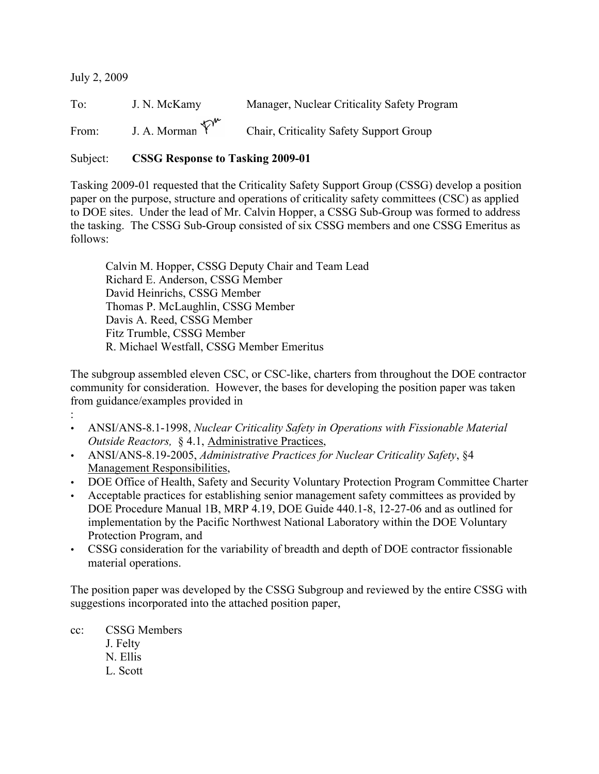July 2, 2009

:

To: J. N. McKamy Manager, Nuclear Criticality Safety Program From: J. A. Morman  $\overline{Y}^{w}$  Chair, Criticality Safety Support Group

Subject: CSSG Response to Tasking 2009-01

Tasking 2009-01 requested that the Criticality Safety Support Group (CSSG) develop a position paper on the purpose, structure and operations of criticality safety committees (CSC) as applied to DOE sites. Under the lead of Mr. Calvin Hopper, a CSSG Sub-Group was formed to address the tasking. The CSSG Sub-Group consisted of six CSSG members and one CSSG Emeritus as follows:

Calvin M. Hopper, CSSG Deputy Chair and Team Lead Richard E. Anderson, CSSG Member David Heinrichs, CSSG Member Thomas P. McLaughlin, CSSG Member Davis A. Reed, CSSG Member Fitz Trumble, CSSG Member R. Michael Westfall, CSSG Member Emeritus

The subgroup assembled eleven CSC, or CSC-like, charters from throughout the DOE contractor community for consideration. However, the bases for developing the position paper was taken from guidance/examples provided in

- ANSI/ANS-8.1-1998, *Nuclear Criticality Safety in Operations with Fissionable Material Outside Reactors,* § 4.1, Administrative Practices,
- ANSI/ANS-8.19-2005, *Administrative Practices for Nuclear Criticality Safety*, §4 Management Responsibilities,
- DOE Office of Health, Safety and Security Voluntary Protection Program Committee Charter
- Acceptable practices for establishing senior management safety committees as provided by DOE Procedure Manual 1B, MRP 4.19, DOE Guide 440.1-8, 12-27-06 and as outlined for implementation by the Pacific Northwest National Laboratory within the DOE Voluntary Protection Program, and
- CSSG consideration for the variability of breadth and depth of DOE contractor fissionable material operations.

The position paper was developed by the CSSG Subgroup and reviewed by the entire CSSG with suggestions incorporated into the attached position paper,

cc: CSSG Members J. Felty N. Ellis L. Scott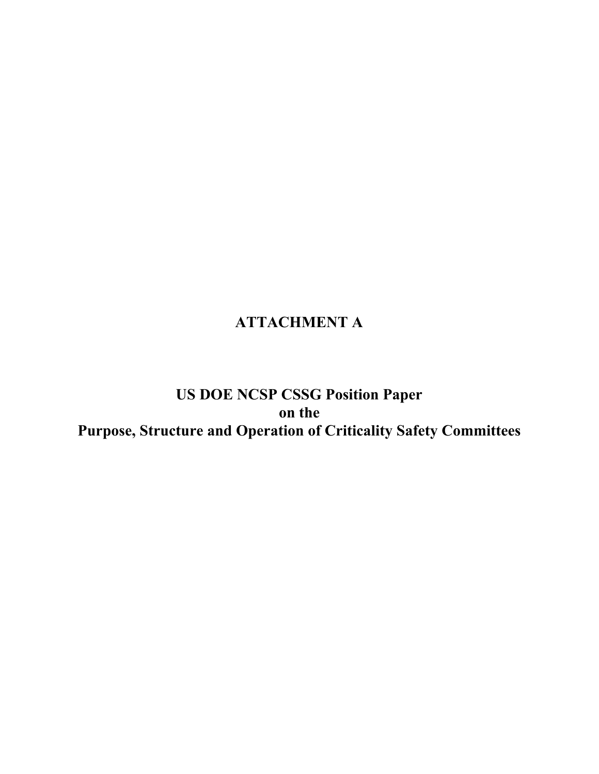# ATTACHMENT A

# US DOE NCSP CSSG Position Paper on the Purpose, Structure and Operation of Criticality Safety Committees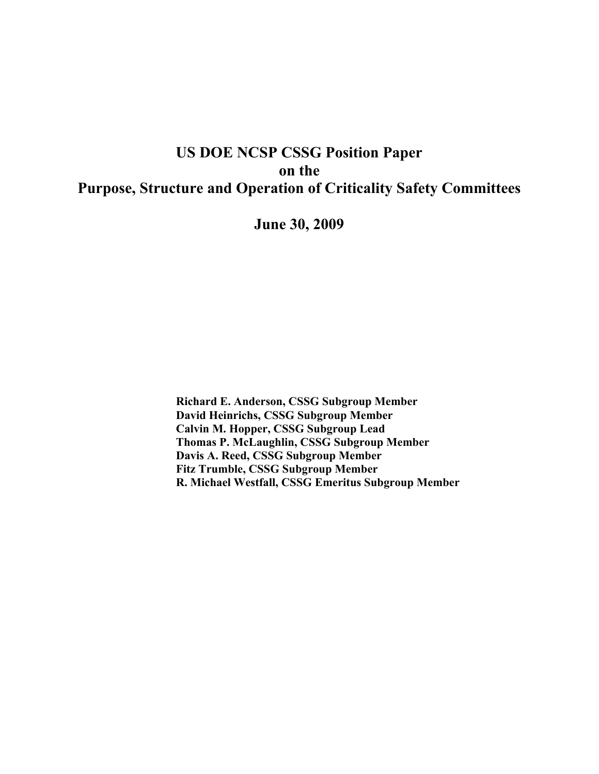# US DOE NCSP CSSG Position Paper on the Purpose, Structure and Operation of Criticality Safety Committees

June 30, 2009

Richard E. Anderson, CSSG Subgroup Member David Heinrichs, CSSG Subgroup Member Calvin M. Hopper, CSSG Subgroup Lead Thomas P. McLaughlin, CSSG Subgroup Member Davis A. Reed, CSSG Subgroup Member Fitz Trumble, CSSG Subgroup Member R. Michael Westfall, CSSG Emeritus Subgroup Member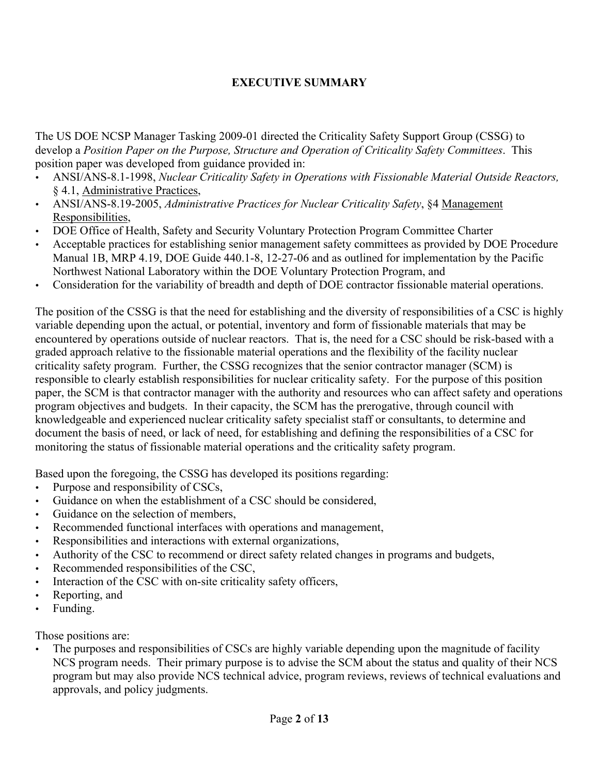## EXECUTIVE SUMMARY

The US DOE NCSP Manager Tasking 2009-01 directed the Criticality Safety Support Group (CSSG) to develop a *Position Paper on the Purpose, Structure and Operation of Criticality Safety Committees*. This position paper was developed from guidance provided in:

- ANSI/ANS-8.1-1998, *Nuclear Criticality Safety in Operations with Fissionable Material Outside Reactors,* § 4.1, Administrative Practices,
- ANSI/ANS-8.19-2005, *Administrative Practices for Nuclear Criticality Safety*, §4 Management Responsibilities,
- DOE Office of Health, Safety and Security Voluntary Protection Program Committee Charter
- Acceptable practices for establishing senior management safety committees as provided by DOE Procedure Manual 1B, MRP 4.19, DOE Guide 440.1-8, 12-27-06 and as outlined for implementation by the Pacific Northwest National Laboratory within the DOE Voluntary Protection Program, and
- Consideration for the variability of breadth and depth of DOE contractor fissionable material operations.

The position of the CSSG is that the need for establishing and the diversity of responsibilities of a CSC is highly variable depending upon the actual, or potential, inventory and form of fissionable materials that may be encountered by operations outside of nuclear reactors. That is, the need for a CSC should be risk-based with a graded approach relative to the fissionable material operations and the flexibility of the facility nuclear criticality safety program. Further, the CSSG recognizes that the senior contractor manager (SCM) is responsible to clearly establish responsibilities for nuclear criticality safety. For the purpose of this position paper, the SCM is that contractor manager with the authority and resources who can affect safety and operations program objectives and budgets. In their capacity, the SCM has the prerogative, through council with knowledgeable and experienced nuclear criticality safety specialist staff or consultants, to determine and document the basis of need, or lack of need, for establishing and defining the responsibilities of a CSC for monitoring the status of fissionable material operations and the criticality safety program.

Based upon the foregoing, the CSSG has developed its positions regarding:

- Purpose and responsibility of CSCs,
- Guidance on when the establishment of a CSC should be considered,
- Guidance on the selection of members,
- Recommended functional interfaces with operations and management,
- Responsibilities and interactions with external organizations,
- Authority of the CSC to recommend or direct safety related changes in programs and budgets,
- Recommended responsibilities of the CSC,
- Interaction of the CSC with on-site criticality safety officers,
- Reporting, and
- Funding.

Those positions are:

• The purposes and responsibilities of CSCs are highly variable depending upon the magnitude of facility NCS program needs. Their primary purpose is to advise the SCM about the status and quality of their NCS program but may also provide NCS technical advice, program reviews, reviews of technical evaluations and approvals, and policy judgments.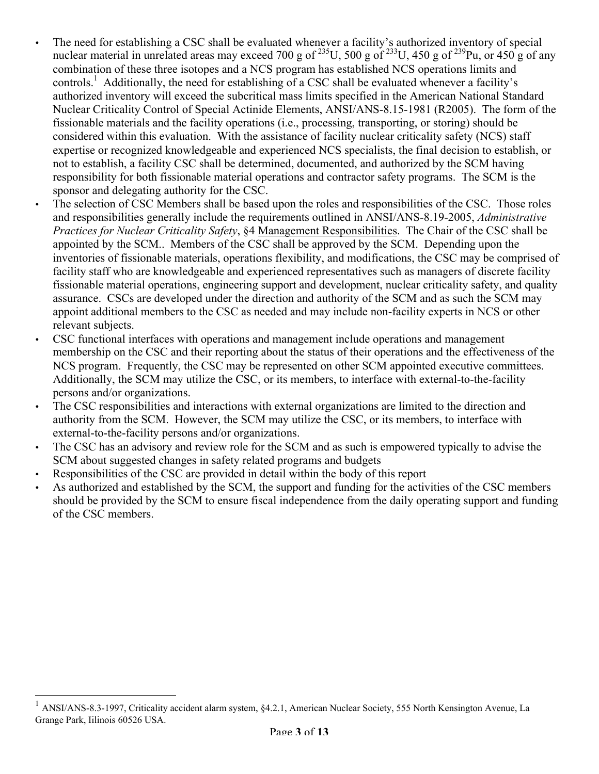- The need for establishing a CSC shall be evaluated whenever a facility's authorized inventory of special nuclear material in unrelated areas may exceed 700 g of  $^{235}$ U, 500 g of  $^{233}$ U, 450 g of  $^{239}$ Pu, or 450 g of any combination of these three isotopes and a NCS program has established NCS operations limits and controls.<sup>1</sup> Additionally, the need for establishing of a CSC shall be evaluated whenever a facility's authorized inventory will exceed the subcritical mass limits specified in the American National Standard Nuclear Criticality Control of Special Actinide Elements, ANSI/ANS-8.15-1981 (R2005). The form of the fissionable materials and the facility operations (i.e., processing, transporting, or storing) should be considered within this evaluation. With the assistance of facility nuclear criticality safety (NCS) staff expertise or recognized knowledgeable and experienced NCS specialists, the final decision to establish, or not to establish, a facility CSC shall be determined, documented, and authorized by the SCM having responsibility for both fissionable material operations and contractor safety programs. The SCM is the sponsor and delegating authority for the CSC.
- The selection of CSC Members shall be based upon the roles and responsibilities of the CSC. Those roles and responsibilities generally include the requirements outlined in ANSI/ANS-8.19-2005, *Administrative Practices for Nuclear Criticality Safety*, §4 Management Responsibilities. The Chair of the CSC shall be appointed by the SCM.. Members of the CSC shall be approved by the SCM. Depending upon the inventories of fissionable materials, operations flexibility, and modifications, the CSC may be comprised of facility staff who are knowledgeable and experienced representatives such as managers of discrete facility fissionable material operations, engineering support and development, nuclear criticality safety, and quality assurance. CSCs are developed under the direction and authority of the SCM and as such the SCM may appoint additional members to the CSC as needed and may include non-facility experts in NCS or other relevant subjects.
- CSC functional interfaces with operations and management include operations and management membership on the CSC and their reporting about the status of their operations and the effectiveness of the NCS program. Frequently, the CSC may be represented on other SCM appointed executive committees. Additionally, the SCM may utilize the CSC, or its members, to interface with external-to-the-facility persons and/or organizations.
- The CSC responsibilities and interactions with external organizations are limited to the direction and authority from the SCM. However, the SCM may utilize the CSC, or its members, to interface with external-to-the-facility persons and/or organizations.
- The CSC has an advisory and review role for the SCM and as such is empowered typically to advise the SCM about suggested changes in safety related programs and budgets
- Responsibilities of the CSC are provided in detail within the body of this report
- As authorized and established by the SCM, the support and funding for the activities of the CSC members should be provided by the SCM to ensure fiscal independence from the daily operating support and funding of the CSC members.

 <sup>1</sup> ANSI/ANS-8.3-1997, Criticality accident alarm system, §4.2.1, American Nuclear Society, 555 North Kensington Avenue, La Grange Park, Iilinois 60526 USA.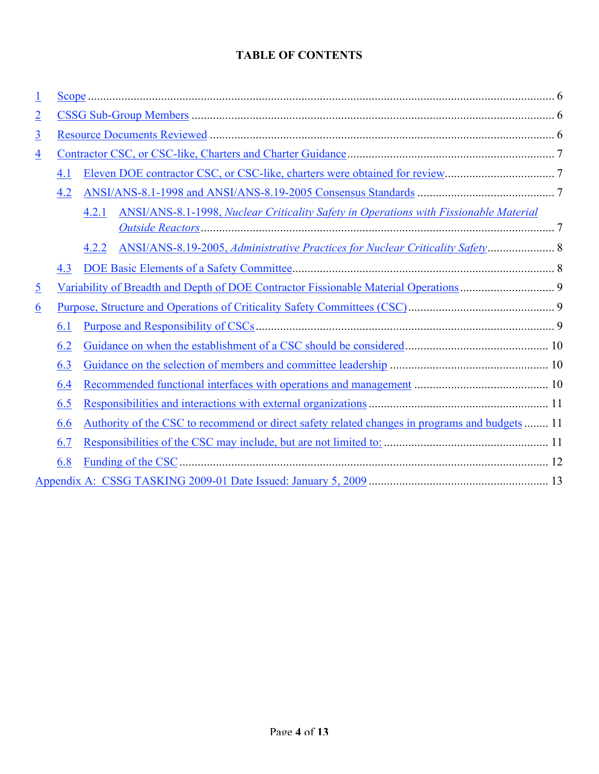## TABLE OF CONTENTS

| $\overline{\mathbf{1}}$ |     | $Scope 6 6$                                                                                    |  |
|-------------------------|-----|------------------------------------------------------------------------------------------------|--|
| $\overline{2}$          |     |                                                                                                |  |
| $\overline{3}$          |     |                                                                                                |  |
| $\overline{4}$          |     |                                                                                                |  |
|                         | 4.1 |                                                                                                |  |
|                         | 4.2 |                                                                                                |  |
|                         |     | ANSI/ANS-8.1-1998, Nuclear Criticality Safety in Operations with Fissionable Material<br>4.2.1 |  |
|                         |     |                                                                                                |  |
|                         |     | ANSI/ANS-8.19-2005, Administrative Practices for Nuclear Criticality Safety 8<br>4.2.2         |  |
|                         | 4.3 |                                                                                                |  |
| $\overline{5}$          |     |                                                                                                |  |
| <u>6</u>                |     |                                                                                                |  |
|                         | 6.1 |                                                                                                |  |
|                         | 6.2 |                                                                                                |  |
|                         | 6.3 |                                                                                                |  |
|                         | 6.4 |                                                                                                |  |
|                         | 6.5 |                                                                                                |  |
|                         | 6.6 | Authority of the CSC to recommend or direct safety related changes in programs and budgets  11 |  |
|                         | 6.7 |                                                                                                |  |
|                         | 6.8 |                                                                                                |  |
|                         |     |                                                                                                |  |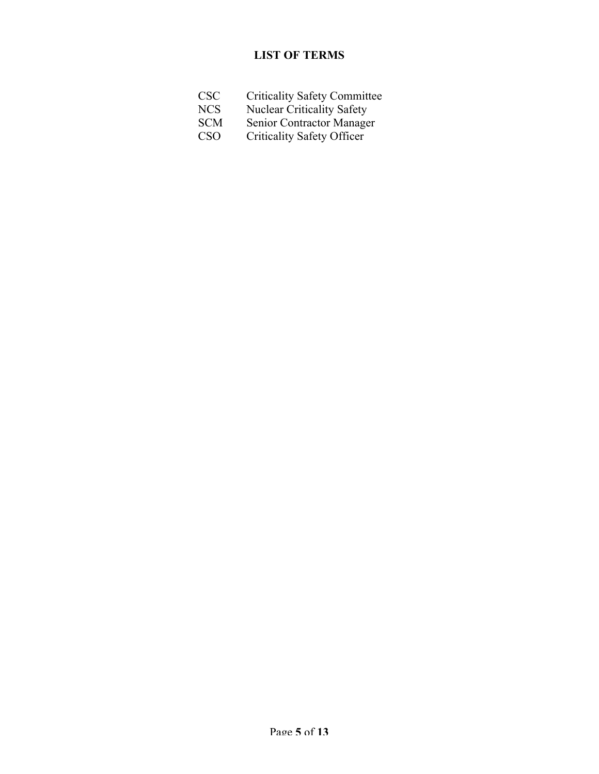## LIST OF TERMS

- CSC Criticality Safety Committee
- NCS Nuclear Criticality Safety
- SCM Senior Contractor Manager
- CSO Criticality Safety Officer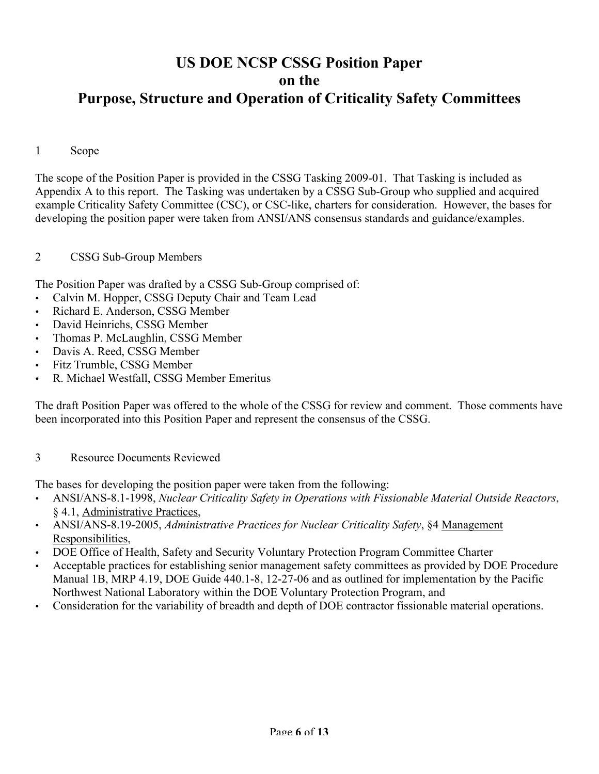# US DOE NCSP CSSG Position Paper on the Purpose, Structure and Operation of Criticality Safety Committees

#### 1 Scope

The scope of the Position Paper is provided in the CSSG Tasking 2009-01. That Tasking is included as Appendix A to this report. The Tasking was undertaken by a CSSG Sub-Group who supplied and acquired example Criticality Safety Committee (CSC), or CSC-like, charters for consideration. However, the bases for developing the position paper were taken from ANSI/ANS consensus standards and guidance/examples.

#### 2 CSSG Sub-Group Members

The Position Paper was drafted by a CSSG Sub-Group comprised of:

- Calvin M. Hopper, CSSG Deputy Chair and Team Lead
- Richard E. Anderson, CSSG Member
- David Heinrichs, CSSG Member
- Thomas P. McLaughlin, CSSG Member
- Davis A. Reed, CSSG Member
- Fitz Trumble, CSSG Member
- R. Michael Westfall, CSSG Member Emeritus

The draft Position Paper was offered to the whole of the CSSG for review and comment. Those comments have been incorporated into this Position Paper and represent the consensus of the CSSG.

#### 3 Resource Documents Reviewed

The bases for developing the position paper were taken from the following:

- ANSI/ANS-8.1-1998, *Nuclear Criticality Safety in Operations with Fissionable Material Outside Reactors*, § 4.1, Administrative Practices,
- ANSI/ANS-8.19-2005, *Administrative Practices for Nuclear Criticality Safety*, §4 Management Responsibilities,
- DOE Office of Health, Safety and Security Voluntary Protection Program Committee Charter
- Acceptable practices for establishing senior management safety committees as provided by DOE Procedure Manual 1B, MRP 4.19, DOE Guide 440.1-8, 12-27-06 and as outlined for implementation by the Pacific Northwest National Laboratory within the DOE Voluntary Protection Program, and
- Consideration for the variability of breadth and depth of DOE contractor fissionable material operations.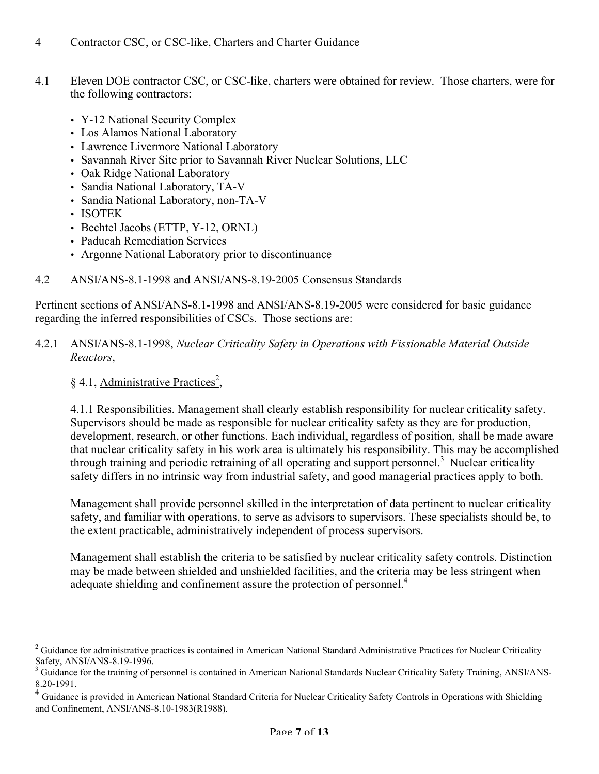- 4 Contractor CSC, or CSC-like, Charters and Charter Guidance
- 4.1 Eleven DOE contractor CSC, or CSC-like, charters were obtained for review. Those charters, were for the following contractors:
	- Y-12 National Security Complex
	- Los Alamos National Laboratory
	- Lawrence Livermore National Laboratory
	- Savannah River Site prior to Savannah River Nuclear Solutions, LLC
	- Oak Ridge National Laboratory
	- Sandia National Laboratory, TA-V
	- Sandia National Laboratory, non-TA-V
	- ISOTEK
	- Bechtel Jacobs (ETTP, Y-12, ORNL)
	- Paducah Remediation Services
	- Argonne National Laboratory prior to discontinuance
- 4.2 ANSI/ANS-8.1-1998 and ANSI/ANS-8.19-2005 Consensus Standards

Pertinent sections of ANSI/ANS-8.1-1998 and ANSI/ANS-8.19-2005 were considered for basic guidance regarding the inferred responsibilities of CSCs. Those sections are:

#### 4.2.1 ANSI/ANS-8.1-1998, *Nuclear Criticality Safety in Operations with Fissionable Material Outside Reactors*,

### § 4.1, Administrative Practices<sup>2</sup>,

4.1.1 Responsibilities. Management shall clearly establish responsibility for nuclear criticality safety. Supervisors should be made as responsible for nuclear criticality safety as they are for production, development, research, or other functions. Each individual, regardless of position, shall be made aware that nuclear criticality safety in his work area is ultimately his responsibility. This may be accomplished through training and periodic retraining of all operating and support personnel.<sup>3</sup> Nuclear criticality safety differs in no intrinsic way from industrial safety, and good managerial practices apply to both.

Management shall provide personnel skilled in the interpretation of data pertinent to nuclear criticality safety, and familiar with operations, to serve as advisors to supervisors. These specialists should be, to the extent practicable, administratively independent of process supervisors.

Management shall establish the criteria to be satisfied by nuclear criticality safety controls. Distinction may be made between shielded and unshielded facilities, and the criteria may be less stringent when adequate shielding and confinement assure the protection of personnel.<sup>4</sup>

 $\frac{1}{2}$  $2$  Guidance for administrative practices is contained in American National Standard Administrative Practices for Nuclear Criticality Safety, ANSI/ANS-8.19-1996.

<sup>3</sup> Guidance for the training of personnel is contained in American National Standards Nuclear Criticality Safety Training, ANSI/ANS-8.20-1991.

<sup>&</sup>lt;sup>4</sup> Guidance is provided in American National Standard Criteria for Nuclear Criticality Safety Controls in Operations with Shielding and Confinement, ANSI/ANS-8.10-1983(R1988).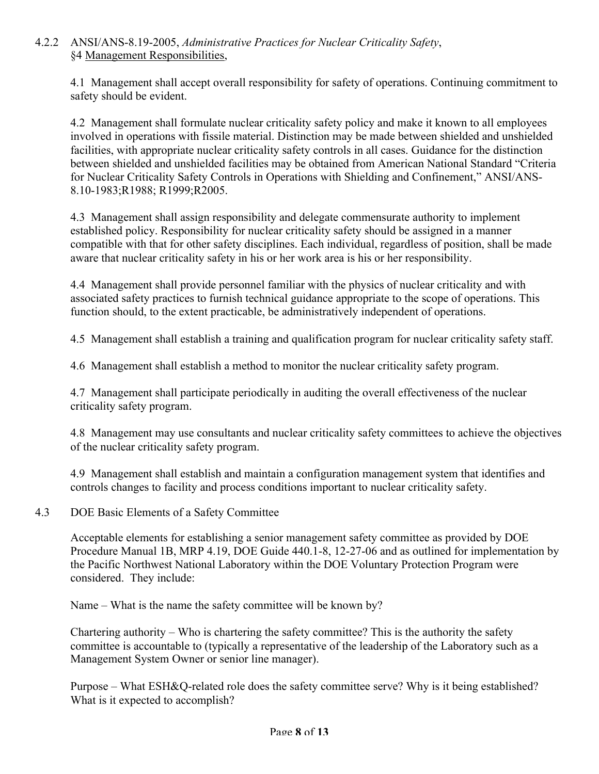### 4.2.2 ANSI/ANS-8.19-2005, *Administrative Practices for Nuclear Criticality Safety*, §4 Management Responsibilities,

4.1 Management shall accept overall responsibility for safety of operations. Continuing commitment to safety should be evident.

4.2 Management shall formulate nuclear criticality safety policy and make it known to all employees involved in operations with fissile material. Distinction may be made between shielded and unshielded facilities, with appropriate nuclear criticality safety controls in all cases. Guidance for the distinction between shielded and unshielded facilities may be obtained from American National Standard "Criteria for Nuclear Criticality Safety Controls in Operations with Shielding and Confinement," ANSI/ANS-8.10-1983;R1988; R1999;R2005.

4.3 Management shall assign responsibility and delegate commensurate authority to implement established policy. Responsibility for nuclear criticality safety should be assigned in a manner compatible with that for other safety disciplines. Each individual, regardless of position, shall be made aware that nuclear criticality safety in his or her work area is his or her responsibility.

4.4 Management shall provide personnel familiar with the physics of nuclear criticality and with associated safety practices to furnish technical guidance appropriate to the scope of operations. This function should, to the extent practicable, be administratively independent of operations.

4.5 Management shall establish a training and qualification program for nuclear criticality safety staff.

4.6 Management shall establish a method to monitor the nuclear criticality safety program.

4.7 Management shall participate periodically in auditing the overall effectiveness of the nuclear criticality safety program.

4.8 Management may use consultants and nuclear criticality safety committees to achieve the objectives of the nuclear criticality safety program.

4.9 Management shall establish and maintain a configuration management system that identifies and controls changes to facility and process conditions important to nuclear criticality safety.

#### 4.3 DOE Basic Elements of a Safety Committee

Acceptable elements for establishing a senior management safety committee as provided by DOE Procedure Manual 1B, MRP 4.19, DOE Guide 440.1-8, 12-27-06 and as outlined for implementation by the Pacific Northwest National Laboratory within the DOE Voluntary Protection Program were considered. They include:

Name – What is the name the safety committee will be known by?

Chartering authority – Who is chartering the safety committee? This is the authority the safety committee is accountable to (typically a representative of the leadership of the Laboratory such as a Management System Owner or senior line manager).

Purpose – What ESH&Q-related role does the safety committee serve? Why is it being established? What is it expected to accomplish?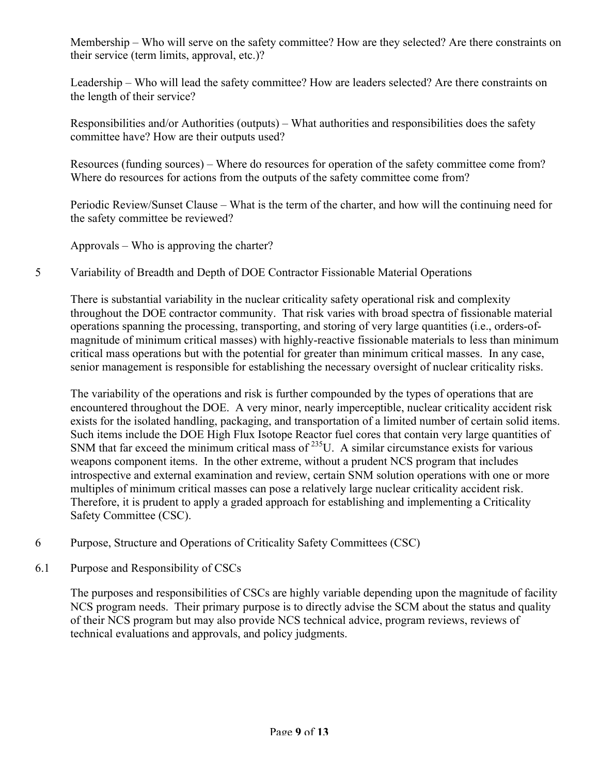Membership – Who will serve on the safety committee? How are they selected? Are there constraints on their service (term limits, approval, etc.)?

Leadership – Who will lead the safety committee? How are leaders selected? Are there constraints on the length of their service?

Responsibilities and/or Authorities (outputs) – What authorities and responsibilities does the safety committee have? How are their outputs used?

Resources (funding sources) – Where do resources for operation of the safety committee come from? Where do resources for actions from the outputs of the safety committee come from?

Periodic Review/Sunset Clause – What is the term of the charter, and how will the continuing need for the safety committee be reviewed?

Approvals – Who is approving the charter?

### 5 Variability of Breadth and Depth of DOE Contractor Fissionable Material Operations

There is substantial variability in the nuclear criticality safety operational risk and complexity throughout the DOE contractor community. That risk varies with broad spectra of fissionable material operations spanning the processing, transporting, and storing of very large quantities (i.e., orders-ofmagnitude of minimum critical masses) with highly-reactive fissionable materials to less than minimum critical mass operations but with the potential for greater than minimum critical masses. In any case, senior management is responsible for establishing the necessary oversight of nuclear criticality risks.

The variability of the operations and risk is further compounded by the types of operations that are encountered throughout the DOE. A very minor, nearly imperceptible, nuclear criticality accident risk exists for the isolated handling, packaging, and transportation of a limited number of certain solid items. Such items include the DOE High Flux Isotope Reactor fuel cores that contain very large quantities of SNM that far exceed the minimum critical mass of  $^{235}$ U. A similar circumstance exists for various weapons component items. In the other extreme, without a prudent NCS program that includes introspective and external examination and review, certain SNM solution operations with one or more multiples of minimum critical masses can pose a relatively large nuclear criticality accident risk. Therefore, it is prudent to apply a graded approach for establishing and implementing a Criticality Safety Committee (CSC).

- 6 Purpose, Structure and Operations of Criticality Safety Committees (CSC)
- 6.1 Purpose and Responsibility of CSCs

The purposes and responsibilities of CSCs are highly variable depending upon the magnitude of facility NCS program needs. Their primary purpose is to directly advise the SCM about the status and quality of their NCS program but may also provide NCS technical advice, program reviews, reviews of technical evaluations and approvals, and policy judgments.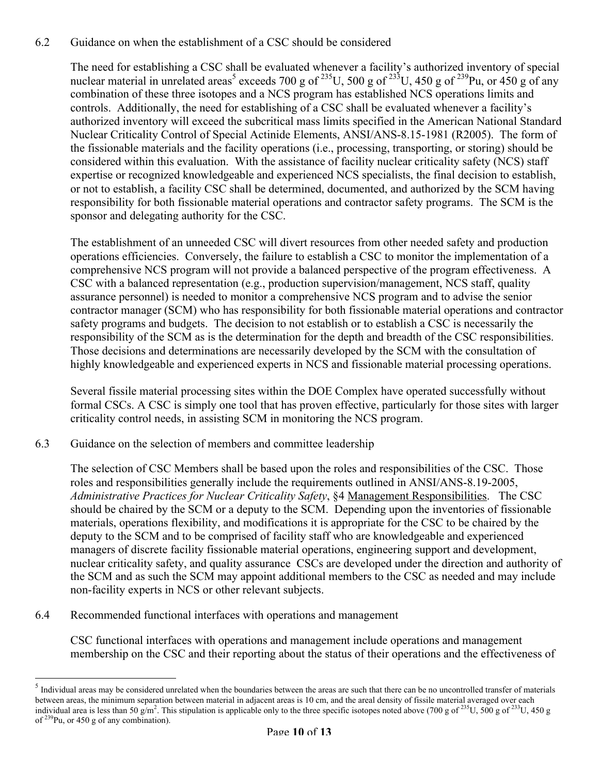### 6.2 Guidance on when the establishment of a CSC should be considered

The need for establishing a CSC shall be evaluated whenever a facility's authorized inventory of special nuclear material in unrelated areas<sup>5</sup> exceeds 700 g of <sup>235</sup>U, 500 g of <sup>233</sup>U, 450 g of <sup>239</sup>Pu, or 450 g of any combination of these three isotopes and a NCS program has established NCS operations limits and controls. Additionally, the need for establishing of a CSC shall be evaluated whenever a facility's authorized inventory will exceed the subcritical mass limits specified in the American National Standard Nuclear Criticality Control of Special Actinide Elements, ANSI/ANS-8.15-1981 (R2005). The form of the fissionable materials and the facility operations (i.e., processing, transporting, or storing) should be considered within this evaluation. With the assistance of facility nuclear criticality safety (NCS) staff expertise or recognized knowledgeable and experienced NCS specialists, the final decision to establish, or not to establish, a facility CSC shall be determined, documented, and authorized by the SCM having responsibility for both fissionable material operations and contractor safety programs. The SCM is the sponsor and delegating authority for the CSC.

The establishment of an unneeded CSC will divert resources from other needed safety and production operations efficiencies. Conversely, the failure to establish a CSC to monitor the implementation of a comprehensive NCS program will not provide a balanced perspective of the program effectiveness. A CSC with a balanced representation (e.g., production supervision/management, NCS staff, quality assurance personnel) is needed to monitor a comprehensive NCS program and to advise the senior contractor manager (SCM) who has responsibility for both fissionable material operations and contractor safety programs and budgets. The decision to not establish or to establish a CSC is necessarily the responsibility of the SCM as is the determination for the depth and breadth of the CSC responsibilities. Those decisions and determinations are necessarily developed by the SCM with the consultation of highly knowledgeable and experienced experts in NCS and fissionable material processing operations.

Several fissile material processing sites within the DOE Complex have operated successfully without formal CSCs. A CSC is simply one tool that has proven effective, particularly for those sites with larger criticality control needs, in assisting SCM in monitoring the NCS program.

6.3 Guidance on the selection of members and committee leadership

The selection of CSC Members shall be based upon the roles and responsibilities of the CSC. Those roles and responsibilities generally include the requirements outlined in ANSI/ANS-8.19-2005, *Administrative Practices for Nuclear Criticality Safety*, §4 Management Responsibilities. The CSC should be chaired by the SCM or a deputy to the SCM. Depending upon the inventories of fissionable materials, operations flexibility, and modifications it is appropriate for the CSC to be chaired by the deputy to the SCM and to be comprised of facility staff who are knowledgeable and experienced managers of discrete facility fissionable material operations, engineering support and development, nuclear criticality safety, and quality assurance CSCs are developed under the direction and authority of the SCM and as such the SCM may appoint additional members to the CSC as needed and may include non-facility experts in NCS or other relevant subjects.

6.4 Recommended functional interfaces with operations and management

CSC functional interfaces with operations and management include operations and management membership on the CSC and their reporting about the status of their operations and the effectiveness of

 $<sup>5</sup>$  Individual areas may be considered unrelated when the boundaries between the areas are such that there can be no uncontrolled transfer of materials</sup> between areas, the minimum separation between material in adjacent areas is 10 cm, and the areal density of fissile material averaged over each individual area is less than 50 g/m<sup>2</sup>. This stipulation is applicable only to the three specific isotopes noted above (700 g of <sup>235</sup>U, 500 g of <sup>235</sup>U, 450 g of  $239$ Pu, or 450 g of any combination).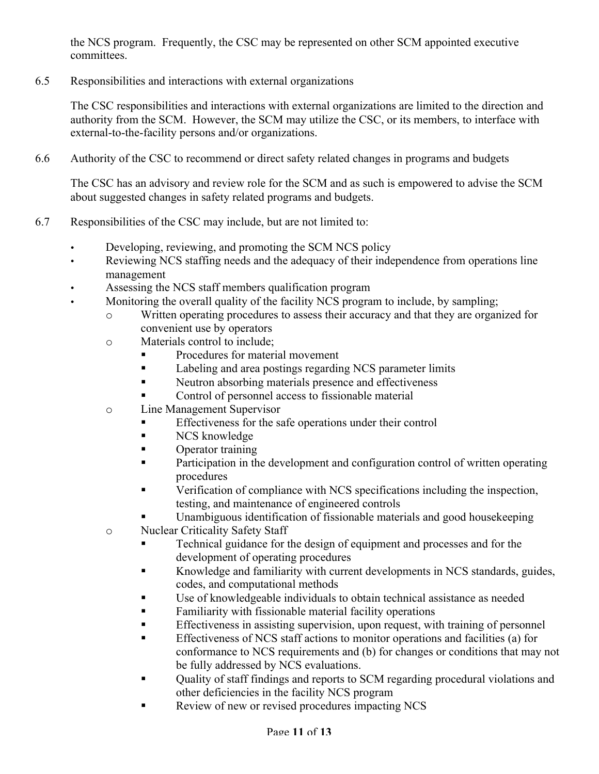the NCS program. Frequently, the CSC may be represented on other SCM appointed executive committees.

6.5 Responsibilities and interactions with external organizations

The CSC responsibilities and interactions with external organizations are limited to the direction and authority from the SCM. However, the SCM may utilize the CSC, or its members, to interface with external-to-the-facility persons and/or organizations.

6.6 Authority of the CSC to recommend or direct safety related changes in programs and budgets

The CSC has an advisory and review role for the SCM and as such is empowered to advise the SCM about suggested changes in safety related programs and budgets.

- 6.7 Responsibilities of the CSC may include, but are not limited to:
	- Developing, reviewing, and promoting the SCM NCS policy
	- Reviewing NCS staffing needs and the adequacy of their independence from operations line management
	- Assessing the NCS staff members qualification program
		- Monitoring the overall quality of the facility NCS program to include, by sampling;
			- o Written operating procedures to assess their accuracy and that they are organized for convenient use by operators
			- o Materials control to include;
				- Procedures for material movement
				- Labeling and area postings regarding NCS parameter limits
				- Neutron absorbing materials presence and effectiveness
				- Control of personnel access to fissionable material
			- o Line Management Supervisor
				- Effectiveness for the safe operations under their control
				- NCS knowledge
				- Operator training
				- **•** Participation in the development and configuration control of written operating procedures
				- Verification of compliance with NCS specifications including the inspection, testing, and maintenance of engineered controls
					- Unambiguous identification of fissionable materials and good housekeeping
			- o Nuclear Criticality Safety Staff
				- Technical guidance for the design of equipment and processes and for the development of operating procedures
				- Knowledge and familiarity with current developments in NCS standards, guides, codes, and computational methods
				- Use of knowledgeable individuals to obtain technical assistance as needed
				- Familiarity with fissionable material facility operations
				- Effectiveness in assisting supervision, upon request, with training of personnel
				- Effectiveness of NCS staff actions to monitor operations and facilities (a) for conformance to NCS requirements and (b) for changes or conditions that may not be fully addressed by NCS evaluations.
				- Quality of staff findings and reports to SCM regarding procedural violations and other deficiencies in the facility NCS program
				- Review of new or revised procedures impacting NCS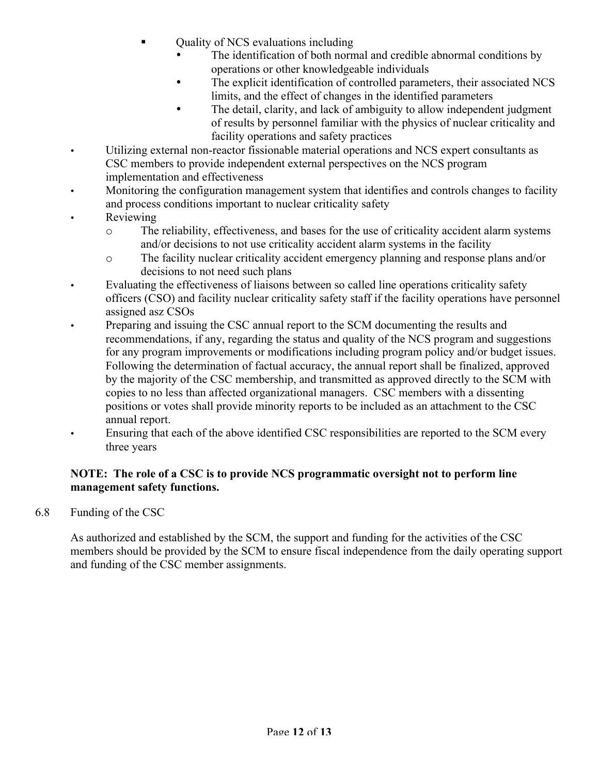- Quality of NCS evaluations including
	- The identification of both normal and credible abnormal conditions by operations or other knowledgeable individuals
	- The explicit identification of controlled parameters, their associated NCS limits, and the effect of changes in the identified parameters
	- The detail, clarity, and lack of ambiguity to allow independent judgment of results by personnel familiar with the physics of nuclear criticality and facility operations and safety practices
- Utilizing external non-reactor fissionable material operations and NCS expert consultants as CSC members to provide independent external perspectives on the NCS program implementation and effectiveness
- Monitoring the configuration management system that identifies and controls changes to facility and process conditions important to nuclear criticality safety
- Reviewing
	- o The reliability, effectiveness, and bases for the use of criticality accident alarm systems and/or decisions to not use criticality accident alarm systems in the facility
	- o The facility nuclear criticality accident emergency planning and response plans and/or decisions to not need such plans
- Evaluating the effectiveness of liaisons between so called line operations criticality safety officers (CSO) and facility nuclear criticality safety staff if the facility operations have personnel assigned asz CSOs
- Preparing and issuing the CSC annual report to the SCM documenting the results and recommendations, if any, regarding the status and quality of the NCS program and suggestions for any program improvements or modifications including program policy and/or budget issues. Following the determination of factual accuracy, the annual report shall be finalized, approved by the majority of the CSC membership, and transmitted as approved directly to the SCM with copies to no less than affected organizational managers. CSC members with a dissenting positions or votes shall provide minority reports to be included as an attachment to the CSC annual report.
	- Ensuring that each of the above identified CSC responsibilities are reported to the SCM every three years

## NOTE: The role of a CSC is to provide NCS programmatic oversight not to perform line management safety functions.

6.8 Funding of the CSC

As authorized and established by the SCM, the support and funding for the activities of the CSC members should be provided by the SCM to ensure fiscal independence from the daily operating support and funding of the CSC member assignments.